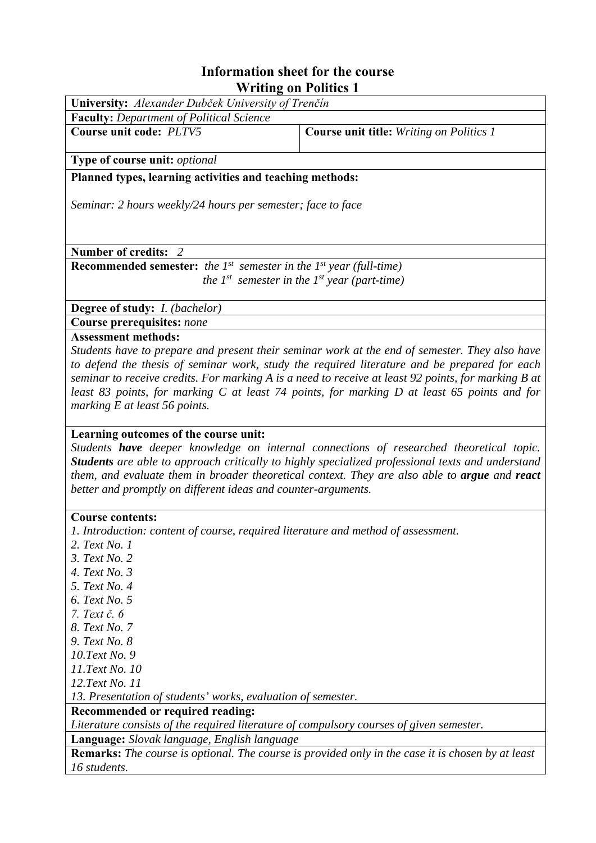## **Information sheet for the course Writing on Politics 1**

| University: Alexander Dubček University of Trenčín<br><b>Faculty: Department of Political Science</b><br>Course unit code: PLTV5<br>Course unit title: Writing on Politics 1<br>Type of course unit: optional<br>Planned types, learning activities and teaching methods:<br>Seminar: 2 hours weekly/24 hours per semester; face to face<br>Number of credits: 2<br><b>Recommended semester:</b> the $I^{st}$ semester in the $I^{st}$ year (full-time) |  |  |  |  |  |  |
|---------------------------------------------------------------------------------------------------------------------------------------------------------------------------------------------------------------------------------------------------------------------------------------------------------------------------------------------------------------------------------------------------------------------------------------------------------|--|--|--|--|--|--|
|                                                                                                                                                                                                                                                                                                                                                                                                                                                         |  |  |  |  |  |  |
|                                                                                                                                                                                                                                                                                                                                                                                                                                                         |  |  |  |  |  |  |
|                                                                                                                                                                                                                                                                                                                                                                                                                                                         |  |  |  |  |  |  |
|                                                                                                                                                                                                                                                                                                                                                                                                                                                         |  |  |  |  |  |  |
|                                                                                                                                                                                                                                                                                                                                                                                                                                                         |  |  |  |  |  |  |
|                                                                                                                                                                                                                                                                                                                                                                                                                                                         |  |  |  |  |  |  |
|                                                                                                                                                                                                                                                                                                                                                                                                                                                         |  |  |  |  |  |  |
|                                                                                                                                                                                                                                                                                                                                                                                                                                                         |  |  |  |  |  |  |
|                                                                                                                                                                                                                                                                                                                                                                                                                                                         |  |  |  |  |  |  |
|                                                                                                                                                                                                                                                                                                                                                                                                                                                         |  |  |  |  |  |  |
|                                                                                                                                                                                                                                                                                                                                                                                                                                                         |  |  |  |  |  |  |
| the $I^{st}$ semester in the $I^{st}$ year (part-time)                                                                                                                                                                                                                                                                                                                                                                                                  |  |  |  |  |  |  |
|                                                                                                                                                                                                                                                                                                                                                                                                                                                         |  |  |  |  |  |  |
| Degree of study: <i>I. (bachelor)</i>                                                                                                                                                                                                                                                                                                                                                                                                                   |  |  |  |  |  |  |
| <b>Course prerequisites: none</b>                                                                                                                                                                                                                                                                                                                                                                                                                       |  |  |  |  |  |  |
| <b>Assessment methods:</b>                                                                                                                                                                                                                                                                                                                                                                                                                              |  |  |  |  |  |  |
| Students have to prepare and present their seminar work at the end of semester. They also have                                                                                                                                                                                                                                                                                                                                                          |  |  |  |  |  |  |
| to defend the thesis of seminar work, study the required literature and be prepared for each                                                                                                                                                                                                                                                                                                                                                            |  |  |  |  |  |  |
| seminar to receive credits. For marking A is a need to receive at least 92 points, for marking B at                                                                                                                                                                                                                                                                                                                                                     |  |  |  |  |  |  |
| least 83 points, for marking C at least 74 points, for marking D at least 65 points and for                                                                                                                                                                                                                                                                                                                                                             |  |  |  |  |  |  |
| marking E at least 56 points.                                                                                                                                                                                                                                                                                                                                                                                                                           |  |  |  |  |  |  |
|                                                                                                                                                                                                                                                                                                                                                                                                                                                         |  |  |  |  |  |  |
| Learning outcomes of the course unit:                                                                                                                                                                                                                                                                                                                                                                                                                   |  |  |  |  |  |  |
| Students have deeper knowledge on internal connections of researched theoretical topic.                                                                                                                                                                                                                                                                                                                                                                 |  |  |  |  |  |  |
| Students are able to approach critically to highly specialized professional texts and understand                                                                                                                                                                                                                                                                                                                                                        |  |  |  |  |  |  |
| them, and evaluate them in broader theoretical context. They are also able to argue and react                                                                                                                                                                                                                                                                                                                                                           |  |  |  |  |  |  |
| better and promptly on different ideas and counter-arguments.                                                                                                                                                                                                                                                                                                                                                                                           |  |  |  |  |  |  |
|                                                                                                                                                                                                                                                                                                                                                                                                                                                         |  |  |  |  |  |  |
| <b>Course contents:</b>                                                                                                                                                                                                                                                                                                                                                                                                                                 |  |  |  |  |  |  |
| 1. Introduction: content of course, required literature and method of assessment.                                                                                                                                                                                                                                                                                                                                                                       |  |  |  |  |  |  |
| 2. Text No. 1                                                                                                                                                                                                                                                                                                                                                                                                                                           |  |  |  |  |  |  |
| 3. Text No. 2                                                                                                                                                                                                                                                                                                                                                                                                                                           |  |  |  |  |  |  |
| 4. Text No. $3$                                                                                                                                                                                                                                                                                                                                                                                                                                         |  |  |  |  |  |  |
| 5. Text No. 4                                                                                                                                                                                                                                                                                                                                                                                                                                           |  |  |  |  |  |  |
| 6. Text No. 5                                                                                                                                                                                                                                                                                                                                                                                                                                           |  |  |  |  |  |  |
| 7. Text č. 6                                                                                                                                                                                                                                                                                                                                                                                                                                            |  |  |  |  |  |  |
| 8. Text No. 7                                                                                                                                                                                                                                                                                                                                                                                                                                           |  |  |  |  |  |  |
| 9. Text No. 8                                                                                                                                                                                                                                                                                                                                                                                                                                           |  |  |  |  |  |  |
| 10. Text No. 9                                                                                                                                                                                                                                                                                                                                                                                                                                          |  |  |  |  |  |  |
| 11.Text No. 10                                                                                                                                                                                                                                                                                                                                                                                                                                          |  |  |  |  |  |  |
| 12. Text No. 11                                                                                                                                                                                                                                                                                                                                                                                                                                         |  |  |  |  |  |  |
| 13. Presentation of students' works, evaluation of semester.                                                                                                                                                                                                                                                                                                                                                                                            |  |  |  |  |  |  |
| Recommended or required reading:                                                                                                                                                                                                                                                                                                                                                                                                                        |  |  |  |  |  |  |
| Literature consists of the required literature of compulsory courses of given semester.                                                                                                                                                                                                                                                                                                                                                                 |  |  |  |  |  |  |
| Language: Slovak language, English language                                                                                                                                                                                                                                                                                                                                                                                                             |  |  |  |  |  |  |
| <b>Remarks:</b> The course is optional. The course is provided only in the case it is chosen by at least                                                                                                                                                                                                                                                                                                                                                |  |  |  |  |  |  |
| 16 students.                                                                                                                                                                                                                                                                                                                                                                                                                                            |  |  |  |  |  |  |